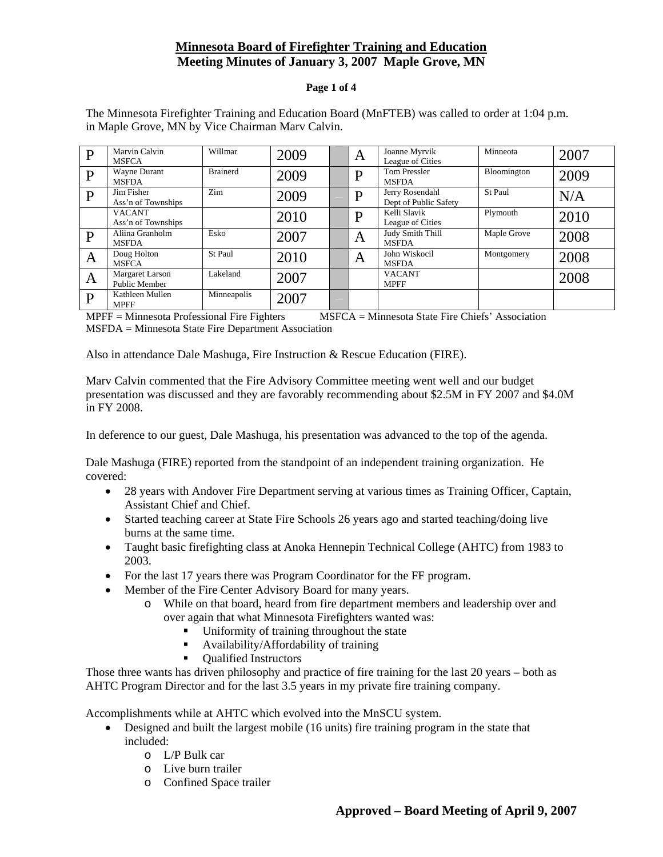# **Minnesota Board of Firefighter Training and Education Meeting Minutes of January 3, 2007 Maple Grove, MN**

#### **Page 1 of 4**

| D            | Marvin Calvin<br><b>MSFCA</b>           | Willmar         | 2009 | A | Joanne Myrvik<br>League of Cities        | Minneota    | 2007 |
|--------------|-----------------------------------------|-----------------|------|---|------------------------------------------|-------------|------|
| P            | Wayne Durant<br><b>MSFDA</b>            | <b>Brainerd</b> | 2009 | D | <b>Tom Pressler</b><br><b>MSFDA</b>      | Bloomington | 2009 |
| $\mathbf{P}$ | Jim Fisher<br>Ass'n of Townships        | Zim             | 2009 | D | Jerry Rosendahl<br>Dept of Public Safety | St Paul     | N/A  |
|              | <b>VACANT</b><br>Ass'n of Townships     |                 | 2010 | D | Kelli Slavik<br>League of Cities         | Plymouth    | 2010 |
| P            | Aliina Granholm<br><b>MSFDA</b>         | Esko            | 2007 | A | Judy Smith Thill<br><b>MSFDA</b>         | Maple Grove | 2008 |
| A            | Doug Holton<br><b>MSFCA</b>             | St Paul         | 2010 | A | John Wiskocil<br><b>MSFDA</b>            | Montgomery  | 2008 |
| A            | <b>Margaret Larson</b><br>Public Member | Lakeland        | 2007 |   | <b>VACANT</b><br><b>MPFF</b>             |             | 2008 |
| D            | Kathleen Mullen<br><b>MPFF</b>          | Minneapolis     | 2007 |   |                                          |             |      |

The Minnesota Firefighter Training and Education Board (MnFTEB) was called to order at 1:04 p.m. in Maple Grove, MN by Vice Chairman Marv Calvin.

MPFF = Minnesota Professional Fire Fighters MSFCA = Minnesota State Fire Chiefs' Association MSFDA = Minnesota State Fire Department Association

Also in attendance Dale Mashuga, Fire Instruction & Rescue Education (FIRE).

Marv Calvin commented that the Fire Advisory Committee meeting went well and our budget presentation was discussed and they are favorably recommending about \$2.5M in FY 2007 and \$4.0M in FY 2008.

In deference to our guest, Dale Mashuga, his presentation was advanced to the top of the agenda.

Dale Mashuga (FIRE) reported from the standpoint of an independent training organization. He covered:

- 28 years with Andover Fire Department serving at various times as Training Officer, Captain, Assistant Chief and Chief.
- Started teaching career at State Fire Schools 26 years ago and started teaching/doing live burns at the same time.
- Taught basic firefighting class at Anoka Hennepin Technical College (AHTC) from 1983 to 2003.
- For the last 17 years there was Program Coordinator for the FF program.
- Member of the Fire Center Advisory Board for many years.
	- o While on that board, heard from fire department members and leadership over and over again that what Minnesota Firefighters wanted was:
		- Uniformity of training throughout the state
		- Availability/Affordability of training
		- Oualified Instructors

Those three wants has driven philosophy and practice of fire training for the last 20 years – both as AHTC Program Director and for the last 3.5 years in my private fire training company.

Accomplishments while at AHTC which evolved into the MnSCU system.

- Designed and built the largest mobile (16 units) fire training program in the state that included:
	- o L/P Bulk car
	- o Live burn trailer
	- o Confined Space trailer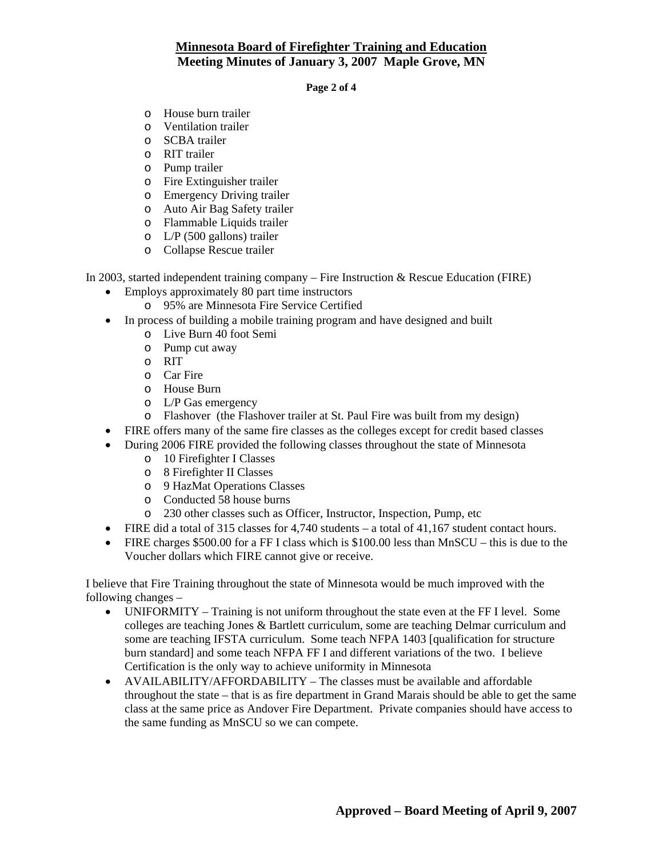# **Minnesota Board of Firefighter Training and Education Meeting Minutes of January 3, 2007 Maple Grove, MN**

**Page 2 of 4** 

- o House burn trailer
- o Ventilation trailer
- o SCBA trailer
- o RIT trailer
- o Pump trailer
- o Fire Extinguisher trailer
- o Emergency Driving trailer
- o Auto Air Bag Safety trailer
- o Flammable Liquids trailer
- o L/P (500 gallons) trailer
- o Collapse Rescue trailer

In 2003, started independent training company – Fire Instruction & Rescue Education (FIRE)

- Employs approximately 80 part time instructors
	- o 95% are Minnesota Fire Service Certified
- In process of building a mobile training program and have designed and built
	- o Live Burn 40 foot Semi
	- o Pump cut away
	- o RIT
	- o Car Fire
	- o House Burn
	- o L/P Gas emergency
	- o Flashover (the Flashover trailer at St. Paul Fire was built from my design)
- FIRE offers many of the same fire classes as the colleges except for credit based classes
- During 2006 FIRE provided the following classes throughout the state of Minnesota
	- o 10 Firefighter I Classes
	- o 8 Firefighter II Classes
	- o 9 HazMat Operations Classes
	- o Conducted 58 house burns
	- o 230 other classes such as Officer, Instructor, Inspection, Pump, etc
- FIRE did a total of 315 classes for 4,740 students a total of 41,167 student contact hours.
- FIRE charges \$500.00 for a FF I class which is \$100.00 less than MnSCU this is due to the Voucher dollars which FIRE cannot give or receive.

I believe that Fire Training throughout the state of Minnesota would be much improved with the following changes –

- UNIFORMITY Training is not uniform throughout the state even at the FF I level. Some colleges are teaching Jones & Bartlett curriculum, some are teaching Delmar curriculum and some are teaching IFSTA curriculum. Some teach NFPA 1403 [qualification for structure burn standard] and some teach NFPA FF I and different variations of the two. I believe Certification is the only way to achieve uniformity in Minnesota
- AVAILABILITY/AFFORDABILITY The classes must be available and affordable throughout the state – that is as fire department in Grand Marais should be able to get the same class at the same price as Andover Fire Department. Private companies should have access to the same funding as MnSCU so we can compete.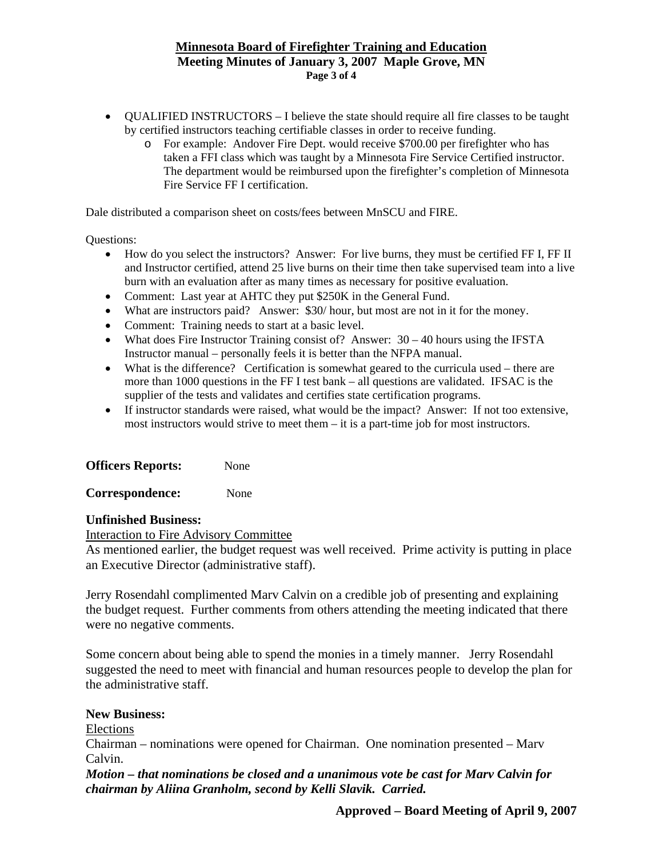### **Minnesota Board of Firefighter Training and Education Meeting Minutes of January 3, 2007 Maple Grove, MN Page 3 of 4**

- OUALIFIED INSTRUCTORS I believe the state should require all fire classes to be taught by certified instructors teaching certifiable classes in order to receive funding.
	- o For example: Andover Fire Dept. would receive \$700.00 per firefighter who has taken a FFI class which was taught by a Minnesota Fire Service Certified instructor. The department would be reimbursed upon the firefighter's completion of Minnesota Fire Service FF I certification.

Dale distributed a comparison sheet on costs/fees between MnSCU and FIRE.

Questions:

- How do you select the instructors? Answer: For live burns, they must be certified FF I, FF II and Instructor certified, attend 25 live burns on their time then take supervised team into a live burn with an evaluation after as many times as necessary for positive evaluation.
- Comment: Last year at AHTC they put \$250K in the General Fund.
- What are instructors paid? Answer: \$30/ hour, but most are not in it for the money.
- Comment: Training needs to start at a basic level.
- What does Fire Instructor Training consist of? Answer:  $30 40$  hours using the IFSTA Instructor manual – personally feels it is better than the NFPA manual.
- What is the difference? Certification is somewhat geared to the curricula used there are more than 1000 questions in the FF I test bank – all questions are validated. IFSAC is the supplier of the tests and validates and certifies state certification programs.
- If instructor standards were raised, what would be the impact? Answer: If not too extensive, most instructors would strive to meet them – it is a part-time job for most instructors.

| <b>Officers Reports:</b> | None |
|--------------------------|------|
|--------------------------|------|

**Correspondence:** None

#### **Unfinished Business:**

Interaction to Fire Advisory Committee

As mentioned earlier, the budget request was well received. Prime activity is putting in place an Executive Director (administrative staff).

Jerry Rosendahl complimented Marv Calvin on a credible job of presenting and explaining the budget request. Further comments from others attending the meeting indicated that there were no negative comments.

Some concern about being able to spend the monies in a timely manner. Jerry Rosendahl suggested the need to meet with financial and human resources people to develop the plan for the administrative staff.

### **New Business:**

Elections

Chairman – nominations were opened for Chairman. One nomination presented – Marv Calvin.

*Motion – that nominations be closed and a unanimous vote be cast for Marv Calvin for chairman by Aliina Granholm, second by Kelli Slavik. Carried.*